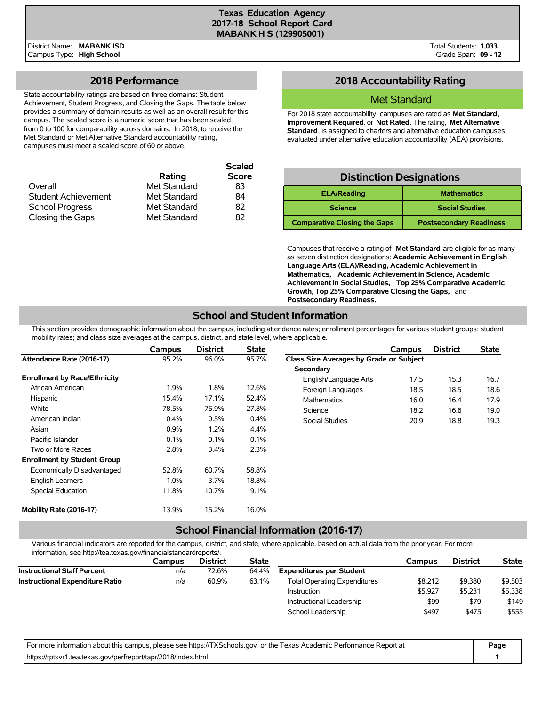**Scaled**

District Name: **MABANK ISD** Campus Type: **High School**

## **2018 Performance**

State accountability ratings are based on three domains: Student Achievement, Student Progress, and Closing the Gaps. The table below provides a summary of domain results as well as an overall result for this campus. The scaled score is a numeric score that has been scaled from 0 to 100 for comparability across domains. In 2018, to receive the Met Standard or Met Alternative Standard accountability rating, campuses must meet a scaled score of 60 or above.

|              | <b>Scaled</b> |
|--------------|---------------|
| Rating       | <b>Score</b>  |
| Met Standard | 83            |
| Met Standard | 84            |
| Met Standard | 82            |
| Met Standard | 82            |
|              |               |

## **2018 Accountability Rating**

## Met Standard

For 2018 state accountability, campuses are rated as **Met Standard**, **Improvement Required**, or **Not Rated**. The rating, **Met Alternative Standard**, is assigned to charters and alternative education campuses evaluated under alternative education accountability (AEA) provisions.

# **Distinction Designations**

| <b>ELA/Reading</b>                  | <b>Mathematics</b>             |
|-------------------------------------|--------------------------------|
| <b>Science</b>                      | <b>Social Studies</b>          |
| <b>Comparative Closing the Gaps</b> | <b>Postsecondary Readiness</b> |

Campuses that receive a rating of **Met Standard** are eligible for as many as seven distinction designations: **Academic Achievement in English Language Arts (ELA)/Reading, Academic Achievement in Mathematics, Academic Achievement in Science, Academic Achievement in Social Studies, Top 25% Comparative Academic Growth, Top 25% Comparative Closing the Gaps,** and **Postsecondary Readiness.**

# **School and Student Information**

This section provides demographic information about the campus, including attendance rates; enrollment percentages for various student groups; student mobility rates; and class size averages at the campus, district, and state level, where applicable.

|                                     | Campus | <b>District</b> | <b>State</b> |                                         | Campus | <b>District</b> | <b>State</b> |
|-------------------------------------|--------|-----------------|--------------|-----------------------------------------|--------|-----------------|--------------|
| Attendance Rate (2016-17)           | 95.2%  | 96.0%           | 95.7%        | Class Size Averages by Grade or Subject |        |                 |              |
|                                     |        |                 |              | Secondary                               |        |                 |              |
| <b>Enrollment by Race/Ethnicity</b> |        |                 |              | English/Language Arts                   | 17.5   | 15.3            | 16.7         |
| African American                    | 1.9%   | 1.8%            | 12.6%        | Foreign Languages                       | 18.5   | 18.5            | 18.6         |
| Hispanic                            | 15.4%  | 17.1%           | 52.4%        | <b>Mathematics</b>                      | 16.0   | 16.4            | 17.9         |
| White                               | 78.5%  | 75.9%           | 27.8%        | Science                                 | 18.2   | 16.6            | 19.0         |
| American Indian                     | 0.4%   | 0.5%            | 0.4%         | Social Studies                          | 20.9   | 18.8            | 19.3         |
| Asian                               | 0.9%   | 1.2%            | 4.4%         |                                         |        |                 |              |
| Pacific Islander                    | 0.1%   | 0.1%            | 0.1%         |                                         |        |                 |              |
| Two or More Races                   | 2.8%   | 3.4%            | 2.3%         |                                         |        |                 |              |
| <b>Enrollment by Student Group</b>  |        |                 |              |                                         |        |                 |              |
| Economically Disadvantaged          | 52.8%  | 60.7%           | 58.8%        |                                         |        |                 |              |
| <b>English Learners</b>             | 1.0%   | 3.7%            | 18.8%        |                                         |        |                 |              |
| Special Education                   | 11.8%  | 10.7%           | 9.1%         |                                         |        |                 |              |
| Mobility Rate (2016-17)             | 13.9%  | 15.2%           | 16.0%        |                                         |        |                 |              |

## **School Financial Information (2016-17)**

Various financial indicators are reported for the campus, district, and state, where applicable, based on actual data from the prior year. For more information, see http://tea.texas.gov/financialstandardreports/.

|                                        | Campus | <b>District</b> | <b>State</b> |                                     | Campus  | <b>District</b> | <b>State</b> |
|----------------------------------------|--------|-----------------|--------------|-------------------------------------|---------|-----------------|--------------|
| <b>Instructional Staff Percent</b>     | n/a    | 72.6%           | 64.4%        | <b>Expenditures per Student</b>     |         |                 |              |
| <b>Instructional Expenditure Ratio</b> | n/a    | 60.9%           | 63.1%        | <b>Total Operating Expenditures</b> | \$8.212 | \$9,380         | \$9,503      |
|                                        |        |                 |              | Instruction                         | \$5.927 | \$5.231         | \$5,338      |
|                                        |        |                 |              | Instructional Leadership            | \$99    | \$79            | \$149        |
|                                        |        |                 |              | School Leadership                   | \$497   | \$475           | \$555        |

For more information about this campus, please see https://TXSchools.gov or the Texas Academic Performance Report at **Page** https://rptsvr1.tea.texas.gov/perfreport/tapr/2018/index.html. **1 1 1**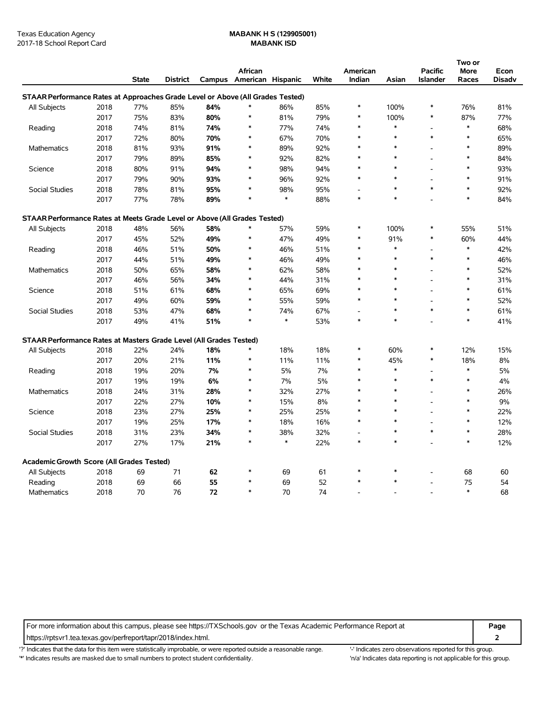|                                                                                |      |              |                 |     |                          |        |       |          |        |                | Two or |        |
|--------------------------------------------------------------------------------|------|--------------|-----------------|-----|--------------------------|--------|-------|----------|--------|----------------|--------|--------|
|                                                                                |      |              |                 |     | African                  |        |       | American |        | <b>Pacific</b> | More   | Econ   |
|                                                                                |      | <b>State</b> | <b>District</b> |     | Campus American Hispanic |        | White | Indian   | Asian  | Islander       | Races  | Disadv |
| STAAR Performance Rates at Approaches Grade Level or Above (All Grades Tested) |      |              |                 |     |                          |        |       |          |        |                |        |        |
| All Subjects                                                                   | 2018 | 77%          | 85%             | 84% | $\ast$                   | 86%    | 85%   | *        | 100%   | $\ast$         | 76%    | 81%    |
|                                                                                | 2017 | 75%          | 83%             | 80% | $\ast$                   | 81%    | 79%   | $\ast$   | 100%   | $\ast$         | 87%    | 77%    |
| Reading                                                                        | 2018 | 74%          | 81%             | 74% | $\ast$                   | 77%    | 74%   | $\ast$   | $\ast$ |                | $\ast$ | 68%    |
|                                                                                | 2017 | 72%          | 80%             | 70% | *                        | 67%    | 70%   | *        | $\ast$ | $\ast$         | $\ast$ | 65%    |
| Mathematics                                                                    | 2018 | 81%          | 93%             | 91% | $\ast$                   | 89%    | 92%   |          | $\ast$ |                | $\ast$ | 89%    |
|                                                                                | 2017 | 79%          | 89%             | 85% | $\ast$                   | 92%    | 82%   | $\ast$   | $\ast$ | $\overline{a}$ | $\ast$ | 84%    |
| Science                                                                        | 2018 | 80%          | 91%             | 94% | $\ast$                   | 98%    | 94%   | $\ast$   | $\ast$ | $\overline{a}$ | $\ast$ | 93%    |
|                                                                                | 2017 | 79%          | 90%             | 93% | $\ast$                   | 96%    | 92%   | $\ast$   | $\ast$ | $\overline{a}$ | $\ast$ | 91%    |
| <b>Social Studies</b>                                                          | 2018 | 78%          | 81%             | 95% |                          | 98%    | 95%   |          | $\ast$ | $\ast$         | $\ast$ | 92%    |
|                                                                                | 2017 | 77%          | 78%             | 89% | $\ast$                   | $\ast$ | 88%   | $\ast$   | $\ast$ | $\overline{a}$ | $\ast$ | 84%    |
| STAAR Performance Rates at Meets Grade Level or Above (All Grades Tested)      |      |              |                 |     |                          |        |       |          |        |                |        |        |
| All Subjects                                                                   | 2018 | 48%          | 56%             | 58% | $\ast$                   | 57%    | 59%   | $\ast$   | 100%   | $\ast$         | 55%    | 51%    |
|                                                                                | 2017 | 45%          | 52%             | 49% | $\ast$                   | 47%    | 49%   | $\ast$   | 91%    | $\ast$         | 60%    | 44%    |
| Reading                                                                        | 2018 | 46%          | 51%             | 50% | *                        | 46%    | 51%   | $\ast$   | $\ast$ | $\sim$         | $\ast$ | 42%    |
|                                                                                | 2017 | 44%          | 51%             | 49% |                          | 46%    | 49%   |          | $\ast$ | $\ast$         | $\ast$ | 46%    |
| Mathematics                                                                    | 2018 | 50%          | 65%             | 58% | $\ast$                   | 62%    | 58%   | $\ast$   | $\ast$ | $\overline{a}$ | $\ast$ | 52%    |
|                                                                                | 2017 | 46%          | 56%             | 34% | $\ast$                   | 44%    | 31%   |          | $\ast$ | $\overline{a}$ | $\ast$ | 31%    |
| Science                                                                        | 2018 | 51%          | 61%             | 68% | $\ast$                   | 65%    | 69%   |          | $\ast$ | $\overline{a}$ | $\ast$ | 61%    |
|                                                                                | 2017 | 49%          | 60%             | 59% |                          | 55%    | 59%   |          | ×      | $\overline{a}$ | $\ast$ | 52%    |
| <b>Social Studies</b>                                                          | 2018 | 53%          | 47%             | 68% | $\ast$                   | 74%    | 67%   |          | $\ast$ | $\ast$         | $\ast$ | 61%    |
|                                                                                | 2017 | 49%          | 41%             | 51% | $\ast$                   | $\ast$ | 53%   | $\ast$   | $\ast$ |                | $\ast$ | 41%    |
| STAAR Performance Rates at Masters Grade Level (All Grades Tested)             |      |              |                 |     |                          |        |       |          |        |                |        |        |
| All Subjects                                                                   | 2018 | 22%          | 24%             | 18% | $\ast$                   | 18%    | 18%   | $\ast$   | 60%    | *              | 12%    | 15%    |
|                                                                                | 2017 | 20%          | 21%             | 11% | $\ast$                   | 11%    | 11%   | $\ast$   | 45%    | $\ast$         | 18%    | 8%     |
| Reading                                                                        | 2018 | 19%          | 20%             | 7%  |                          | 5%     | 7%    |          | $\ast$ | $\overline{a}$ | $\ast$ | 5%     |
|                                                                                | 2017 | 19%          | 19%             | 6%  | $\ast$                   | 7%     | 5%    |          | $\ast$ | $\ast$         | $\ast$ | 4%     |
| Mathematics                                                                    | 2018 | 24%          | 31%             | 28% | $\ast$                   | 32%    | 27%   |          | $\ast$ |                | $\ast$ | 26%    |
|                                                                                | 2017 | 22%          | 27%             | 10% | $\ast$                   | 15%    | 8%    |          | $\ast$ | $\overline{a}$ | $\ast$ | 9%     |
| Science                                                                        | 2018 | 23%          | 27%             | 25% |                          | 25%    | 25%   |          | $\ast$ | $\overline{a}$ | $\ast$ | 22%    |
|                                                                                | 2017 | 19%          | 25%             | 17% | $\ast$                   | 18%    | 16%   | $\ast$   |        |                | $\ast$ | 12%    |
| Social Studies                                                                 | 2018 | 31%          | 23%             | 34% | $\ast$                   | 38%    | 32%   |          | $\ast$ | $\ast$         | $\ast$ | 28%    |
|                                                                                | 2017 | 27%          | 17%             | 21% | $\ast$                   | $\ast$ | 22%   | $\ast$   | $\ast$ | $\overline{a}$ | $\ast$ | 12%    |
| Academic Growth Score (All Grades Tested)                                      |      |              |                 |     |                          |        |       |          |        |                |        |        |
| All Subjects                                                                   | 2018 | 69           | 71              | 62  | *                        | 69     | 61    |          |        |                | 68     | 60     |
| Reading                                                                        | 2018 | 69           | 66              | 55  |                          | 69     | 52    |          |        |                | 75     | 54     |
| Mathematics                                                                    | 2018 | 70           | 76              | 72  | $\ast$                   | 70     | 74    |          |        |                | $\ast$ | 68     |

For more information about this campus, please see https://TXSchools.gov or the Texas Academic Performance Report at **Page**

https://rptsvr1.tea.texas.gov/perfreport/tapr/2018/index.html. **2**

'?' Indicates that the data for this item were statistically improbable, or were reported outside a reasonable range. '' Indicates zero observations reported for this group.

'\*' Indicates results are masked due to small numbers to protect student confidentiality. 'n/a' Indicates data reporting is not applicable for this group.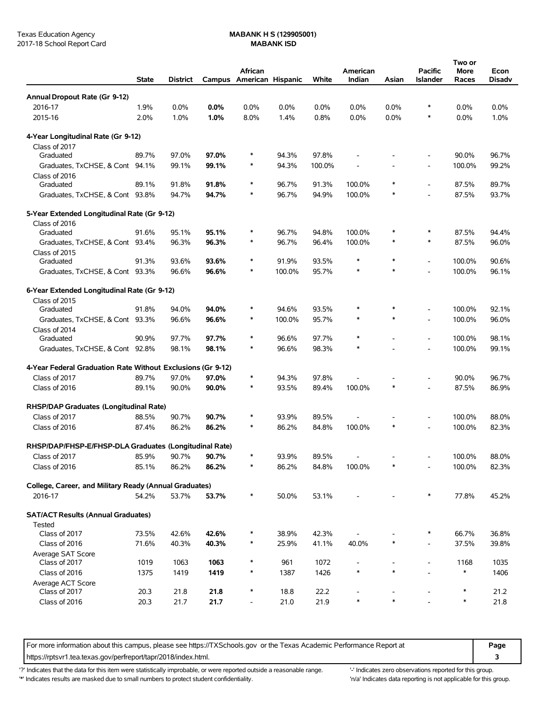|                                                             | <b>State</b> | District |       | African<br>Campus American Hispanic |                | White  | American<br>Indian | Asian  | Pacific<br><b>Islander</b> | Two or<br>More<br>Races | Econ<br>Disadv |
|-------------------------------------------------------------|--------------|----------|-------|-------------------------------------|----------------|--------|--------------------|--------|----------------------------|-------------------------|----------------|
| Annual Dropout Rate (Gr 9-12)                               |              |          |       |                                     |                |        |                    |        |                            |                         |                |
| 2016-17                                                     | 1.9%         | 0.0%     | 0.0%  | 0.0%                                | 0.0%           | 0.0%   | 0.0%               | 0.0%   | $\ast$                     | 0.0%                    | 0.0%           |
| 2015-16                                                     | 2.0%         | 1.0%     | 1.0%  | 8.0%                                | 1.4%           | 0.8%   | 0.0%               | 0.0%   | $\ast$                     | 0.0%                    | 1.0%           |
| 4-Year Longitudinal Rate (Gr 9-12)                          |              |          |       |                                     |                |        |                    |        |                            |                         |                |
| Class of 2017                                               |              |          |       |                                     |                |        |                    |        |                            |                         |                |
| Graduated                                                   | 89.7%        | 97.0%    | 97.0% | $\ast$                              | 94.3%          | 97.8%  |                    |        |                            | 90.0%                   | 96.7%          |
| Graduates, TxCHSE, & Cont 94.1%                             |              | 99.1%    | 99.1% | *                                   | 94.3%          | 100.0% |                    |        |                            | 100.0%                  | 99.2%          |
| Class of 2016                                               |              |          |       | *                                   |                |        |                    | *      |                            |                         |                |
| Graduated                                                   | 89.1%        | 91.8%    | 91.8% | *                                   | 96.7%          | 91.3%  | 100.0%             | *      | $\overline{a}$             | 87.5%                   | 89.7%          |
| Graduates, TxCHSE, & Cont 93.8%                             |              | 94.7%    | 94.7% |                                     | 96.7%          | 94.9%  | 100.0%             |        | $\overline{a}$             | 87.5%                   | 93.7%          |
| 5-Year Extended Longitudinal Rate (Gr 9-12)                 |              |          |       |                                     |                |        |                    |        |                            |                         |                |
| Class of 2016<br>Graduated                                  | 91.6%        |          |       | *                                   |                | 94.8%  | 100.0%             | *      | ∗                          |                         | 94.4%          |
|                                                             |              | 95.1%    | 95.1% | $\ast$                              | 96.7%<br>96.7% |        |                    | *      | $\ast$                     | 87.5%                   | 96.0%          |
| Graduates, TxCHSE, & Cont 93.4%<br>Class of 2015            |              | 96.3%    | 96.3% |                                     |                | 96.4%  | 100.0%             |        |                            | 87.5%                   |                |
| Graduated                                                   | 91.3%        | 93.6%    | 93.6% | $\ast$                              | 91.9%          | 93.5%  | $\ast$             | *      | $\overline{a}$             | 100.0%                  | 90.6%          |
| Graduates, TxCHSE, & Cont 93.3%                             |              | 96.6%    | 96.6% | $\ast$                              | 100.0%         | 95.7%  | $\ast$             | $\ast$ | $\overline{a}$             | 100.0%                  | 96.1%          |
|                                                             |              |          |       |                                     |                |        |                    |        |                            |                         |                |
| 6-Year Extended Longitudinal Rate (Gr 9-12)                 |              |          |       |                                     |                |        |                    |        |                            |                         |                |
| Class of 2015                                               |              |          |       |                                     |                |        |                    | $\ast$ |                            |                         |                |
| Graduated                                                   | 91.8%        | 94.0%    | 94.0% | $\ast$                              | 94.6%          | 93.5%  | $\ast$<br>$\ast$   | $\ast$ |                            | 100.0%                  | 92.1%          |
| Graduates, TxCHSE, & Cont 93.3%                             |              | 96.6%    | 96.6% | *                                   | 100.0%         | 95.7%  |                    |        | $\overline{a}$             | 100.0%                  | 96.0%          |
| Class of 2014<br>Graduated                                  | 90.9%        | 97.7%    | 97.7% | $\ast$                              | 96.6%          | 97.7%  | $\ast$             |        | $\overline{a}$             | 100.0%                  | 98.1%          |
| Graduates, TxCHSE, & Cont 92.8%                             |              | 98.1%    | 98.1% | $\ast$                              | 96.6%          | 98.3%  | $\ast$             |        |                            | 100.0%                  | 99.1%          |
|                                                             |              |          |       |                                     |                |        |                    |        |                            |                         |                |
| 4-Year Federal Graduation Rate Without Exclusions (Gr 9-12) |              |          |       |                                     |                |        |                    |        |                            |                         |                |
| Class of 2017                                               | 89.7%        | 97.0%    | 97.0% | *                                   | 94.3%          | 97.8%  |                    |        |                            | 90.0%                   | 96.7%          |
| Class of 2016                                               | 89.1%        | 90.0%    | 90.0% | *                                   | 93.5%          | 89.4%  | 100.0%             | *      |                            | 87.5%                   | 86.9%          |
| RHSP/DAP Graduates (Longitudinal Rate)                      |              |          |       |                                     |                |        |                    |        |                            |                         |                |
| Class of 2017                                               | 88.5%        | 90.7%    | 90.7% | $\ast$                              | 93.9%          | 89.5%  |                    |        |                            | 100.0%                  | 88.0%          |
| Class of 2016                                               | 87.4%        | 86.2%    | 86.2% | $\ast$                              | 86.2%          | 84.8%  | 100.0%             | $\ast$ |                            | 100.0%                  | 82.3%          |
| RHSP/DAP/FHSP-E/FHSP-DLA Graduates (Longitudinal Rate)      |              |          |       |                                     |                |        |                    |        |                            |                         |                |
| Class of 2017                                               | 85.9%        | 90.7%    | 90.7% | $\ast$                              | 93.9%          | 89.5%  |                    |        |                            | 100.0%                  | 88.0%          |
| Class of 2016                                               | 85.1%        | 86.2%    | 86.2% | *                                   | 86.2%          | 84.8%  | 100.0%             |        |                            | 100.0%                  | 82.3%          |
|                                                             |              |          |       |                                     |                |        |                    |        |                            |                         |                |
| College, Career, and Military Ready (Annual Graduates)      |              |          |       |                                     |                |        |                    |        |                            |                         |                |
| 2016-17                                                     | 54.2%        | 53.7%    | 53.7% | *                                   | 50.0%          | 53.1%  |                    |        | $\ast$                     | 77.8%                   | 45.2%          |
| <b>SAT/ACT Results (Annual Graduates)</b>                   |              |          |       |                                     |                |        |                    |        |                            |                         |                |
| Tested                                                      |              |          |       |                                     |                |        |                    |        |                            |                         |                |
| Class of 2017                                               | 73.5%        | 42.6%    | 42.6% | $\ast$                              | 38.9%          | 42.3%  |                    |        | $\ast$                     | 66.7%                   | 36.8%          |
| Class of 2016                                               | 71.6%        | 40.3%    | 40.3% | $\ast$                              | 25.9%          | 41.1%  | 40.0%              | *      | $\overline{\phantom{a}}$   | 37.5%                   | 39.8%          |
| Average SAT Score                                           |              |          |       |                                     |                |        |                    |        |                            |                         |                |
| Class of 2017                                               | 1019         | 1063     | 1063  | *<br>*                              | 961            | 1072   | $\ast$             | $\ast$ | $\overline{\phantom{a}}$   | 1168<br>$\ast$          | 1035           |
| Class of 2016                                               | 1375         | 1419     | 1419  |                                     | 1387           | 1426   |                    |        |                            |                         | 1406           |
| Average ACT Score<br>Class of 2017                          | 20.3         | 21.8     | 21.8  | *                                   | 18.8           | 22.2   |                    |        |                            | $\ast$                  | 21.2           |
| Class of 2016                                               | 20.3         | 21.7     | 21.7  | $\overline{\phantom{a}}$            | 21.0           | 21.9   | $\ast$             |        |                            | $\ast$                  | 21.8           |
|                                                             |              |          |       |                                     |                |        |                    |        |                            |                         |                |

For more information about this campus, please see https://TXSchools.gov or the Texas Academic Performance Report at **Page** https://rptsvr1.tea.texas.gov/perfreport/tapr/2018/index.html. **3**

'?' Indicates that the data for this item were statistically improbable, or were reported outside a reasonable range. "Indicates zero observations reported for this group.

'\*' Indicates results are masked due to small numbers to protect student confidentiality. 
"n/a' Indicates data reporting is not applicable for this group.